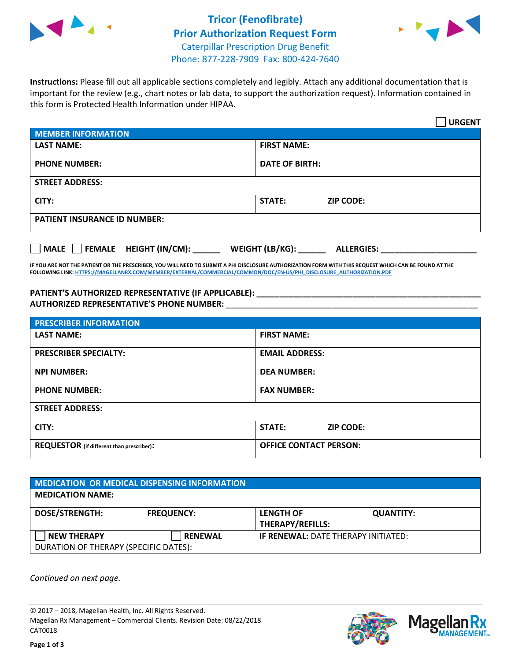



**Instructions:** Please fill out all applicable sections completely and legibly. Attach any additional documentation that is important for the review (e.g., chart notes or lab data, to support the authorization request). Information contained in this form is Protected Health Information under HIPAA.

|                                       | <b>URGENT</b>                        |  |  |  |
|---------------------------------------|--------------------------------------|--|--|--|
| <b>MEMBER INFORMATION</b>             |                                      |  |  |  |
| <b>LAST NAME:</b>                     | <b>FIRST NAME:</b>                   |  |  |  |
| <b>PHONE NUMBER:</b>                  | <b>DATE OF BIRTH:</b>                |  |  |  |
| <b>STREET ADDRESS:</b>                |                                      |  |  |  |
| CITY:                                 | <b>ZIP CODE:</b><br>STATE:           |  |  |  |
| <b>PATIENT INSURANCE ID NUMBER:</b>   |                                      |  |  |  |
| FEMALE HEIGHT (IN/CM):<br><b>MALE</b> | WEIGHT (LB/KG):<br><b>ALLERGIES:</b> |  |  |  |

**IF YOU ARE NOT THE PATIENT OR THE PRESCRIBER, YOU WILL NEED TO SUBMIT A PHI DISCLOSURE AUTHORIZATION FORM WITH THIS REQUEST WHICH CAN BE FOUND AT THE FOLLOWING LINK[: HTTPS://MAGELLANRX.COM/MEMBER/EXTERNAL/COMMERCIAL/COMMON/DOC/EN-US/PHI\\_DISCLOSURE\\_AUTHORIZATION.PDF](https://magellanrx.com/member/external/commercial/common/doc/en-us/PHI_Disclosure_Authorization.pdf)**

**PATIENT'S AUTHORIZED REPRESENTATIVE (IF APPLICABLE): \_\_\_\_\_\_\_\_\_\_\_\_\_\_\_\_\_\_\_\_\_\_\_\_\_\_\_\_\_\_\_\_\_\_\_\_\_\_\_\_\_\_\_\_\_\_\_\_\_ AUTHORIZED REPRESENTATIVE'S PHONE NUMBER:** \_\_\_\_\_\_\_\_\_\_\_\_\_\_\_\_\_\_\_\_\_\_\_\_\_\_\_\_\_\_\_\_\_\_\_\_\_\_\_\_\_\_\_\_\_\_\_\_\_\_\_\_\_\_\_

| <b>PRESCRIBER INFORMATION</b>             |                               |  |  |  |
|-------------------------------------------|-------------------------------|--|--|--|
| <b>LAST NAME:</b>                         | <b>FIRST NAME:</b>            |  |  |  |
| <b>PRESCRIBER SPECIALTY:</b>              | <b>EMAIL ADDRESS:</b>         |  |  |  |
| <b>NPI NUMBER:</b>                        | <b>DEA NUMBER:</b>            |  |  |  |
| <b>PHONE NUMBER:</b>                      | <b>FAX NUMBER:</b>            |  |  |  |
| <b>STREET ADDRESS:</b>                    |                               |  |  |  |
| CITY:                                     | STATE:<br><b>ZIP CODE:</b>    |  |  |  |
| REQUESTOR (if different than prescriber): | <b>OFFICE CONTACT PERSON:</b> |  |  |  |

| <b>MEDICATION OR MEDICAL DISPENSING INFORMATION</b> |                   |                                            |                  |  |  |
|-----------------------------------------------------|-------------------|--------------------------------------------|------------------|--|--|
| <b>MEDICATION NAME:</b>                             |                   |                                            |                  |  |  |
| <b>DOSE/STRENGTH:</b>                               | <b>FREQUENCY:</b> | <b>LENGTH OF</b>                           | <b>QUANTITY:</b> |  |  |
|                                                     |                   | <b>THERAPY/REFILLS:</b>                    |                  |  |  |
| <b>NEW THERAPY</b>                                  | <b>RENEWAL</b>    | <b>IF RENEWAL: DATE THERAPY INITIATED:</b> |                  |  |  |
| DURATION OF THERAPY (SPECIFIC DATES):               |                   |                                            |                  |  |  |

*Continued on next page.*

© 2017 – 2018, Magellan Health, Inc. All Rights Reserved. Magellan Rx Management – Commercial Clients. Revision Date: 08/22/2018 CAT0018



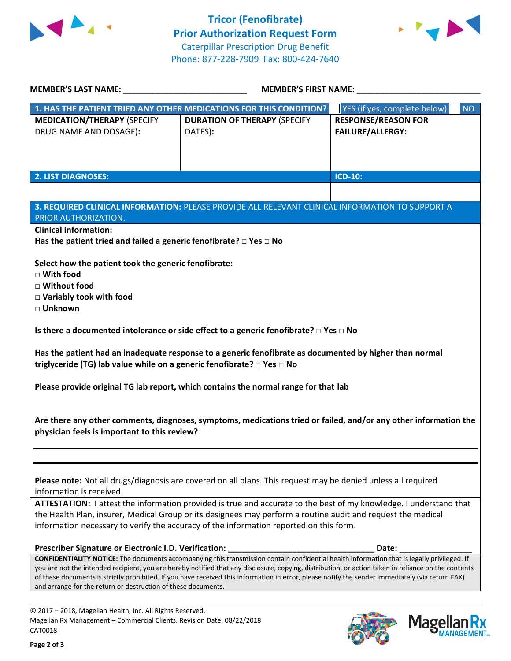



Mag

**NAGEMENT**<sub>SM</sub>

| <b>MEMBER'S LAST NAME:</b> NAME                                                                                                                                                                                                                                                                         | <b>MEMBER'S FIRST NAME:</b>                                                                                                                 |                                           |  |  |
|---------------------------------------------------------------------------------------------------------------------------------------------------------------------------------------------------------------------------------------------------------------------------------------------------------|---------------------------------------------------------------------------------------------------------------------------------------------|-------------------------------------------|--|--|
|                                                                                                                                                                                                                                                                                                         | 1. HAS THE PATIENT TRIED ANY OTHER MEDICATIONS FOR THIS CONDITION?                                                                          | YES (if yes, complete below)<br><b>NO</b> |  |  |
| <b>MEDICATION/THERAPY (SPECIFY</b>                                                                                                                                                                                                                                                                      | <b>DURATION OF THERAPY (SPECIFY</b>                                                                                                         | <b>RESPONSE/REASON FOR</b>                |  |  |
| DRUG NAME AND DOSAGE):                                                                                                                                                                                                                                                                                  | DATES):                                                                                                                                     | <b>FAILURE/ALLERGY:</b>                   |  |  |
|                                                                                                                                                                                                                                                                                                         |                                                                                                                                             |                                           |  |  |
|                                                                                                                                                                                                                                                                                                         |                                                                                                                                             |                                           |  |  |
|                                                                                                                                                                                                                                                                                                         |                                                                                                                                             |                                           |  |  |
| <b>2. LIST DIAGNOSES:</b>                                                                                                                                                                                                                                                                               |                                                                                                                                             | <b>ICD-10:</b>                            |  |  |
|                                                                                                                                                                                                                                                                                                         |                                                                                                                                             |                                           |  |  |
|                                                                                                                                                                                                                                                                                                         |                                                                                                                                             |                                           |  |  |
|                                                                                                                                                                                                                                                                                                         | 3. REQUIRED CLINICAL INFORMATION: PLEASE PROVIDE ALL RELEVANT CLINICAL INFORMATION TO SUPPORT A                                             |                                           |  |  |
| PRIOR AUTHORIZATION.                                                                                                                                                                                                                                                                                    |                                                                                                                                             |                                           |  |  |
| <b>Clinical information:</b>                                                                                                                                                                                                                                                                            |                                                                                                                                             |                                           |  |  |
| Has the patient tried and failed a generic fenofibrate? $\Box$ Yes $\Box$ No                                                                                                                                                                                                                            |                                                                                                                                             |                                           |  |  |
|                                                                                                                                                                                                                                                                                                         |                                                                                                                                             |                                           |  |  |
| Select how the patient took the generic fenofibrate:                                                                                                                                                                                                                                                    |                                                                                                                                             |                                           |  |  |
| $\Box$ With food                                                                                                                                                                                                                                                                                        |                                                                                                                                             |                                           |  |  |
| □ Without food                                                                                                                                                                                                                                                                                          |                                                                                                                                             |                                           |  |  |
| □ Variably took with food                                                                                                                                                                                                                                                                               |                                                                                                                                             |                                           |  |  |
| □ Unknown                                                                                                                                                                                                                                                                                               |                                                                                                                                             |                                           |  |  |
|                                                                                                                                                                                                                                                                                                         |                                                                                                                                             |                                           |  |  |
|                                                                                                                                                                                                                                                                                                         | Is there a documented intolerance or side effect to a generic fenofibrate? $\square$ Yes $\square$ No                                       |                                           |  |  |
|                                                                                                                                                                                                                                                                                                         |                                                                                                                                             |                                           |  |  |
|                                                                                                                                                                                                                                                                                                         | Has the patient had an inadequate response to a generic fenofibrate as documented by higher than normal                                     |                                           |  |  |
| triglyceride (TG) lab value while on a generic fenofibrate? □ Yes □ No                                                                                                                                                                                                                                  |                                                                                                                                             |                                           |  |  |
|                                                                                                                                                                                                                                                                                                         |                                                                                                                                             |                                           |  |  |
|                                                                                                                                                                                                                                                                                                         | Please provide original TG lab report, which contains the normal range for that lab                                                         |                                           |  |  |
|                                                                                                                                                                                                                                                                                                         |                                                                                                                                             |                                           |  |  |
|                                                                                                                                                                                                                                                                                                         |                                                                                                                                             |                                           |  |  |
|                                                                                                                                                                                                                                                                                                         | Are there any other comments, diagnoses, symptoms, medications tried or failed, and/or any other information the                            |                                           |  |  |
| physician feels is important to this review?                                                                                                                                                                                                                                                            |                                                                                                                                             |                                           |  |  |
|                                                                                                                                                                                                                                                                                                         |                                                                                                                                             |                                           |  |  |
|                                                                                                                                                                                                                                                                                                         |                                                                                                                                             |                                           |  |  |
|                                                                                                                                                                                                                                                                                                         |                                                                                                                                             |                                           |  |  |
|                                                                                                                                                                                                                                                                                                         | Please note: Not all drugs/diagnosis are covered on all plans. This request may be denied unless all required                               |                                           |  |  |
| information is received.                                                                                                                                                                                                                                                                                |                                                                                                                                             |                                           |  |  |
|                                                                                                                                                                                                                                                                                                         |                                                                                                                                             |                                           |  |  |
|                                                                                                                                                                                                                                                                                                         | ATTESTATION: I attest the information provided is true and accurate to the best of my knowledge. I understand that                          |                                           |  |  |
| the Health Plan, insurer, Medical Group or its designees may perform a routine audit and request the medical<br>information necessary to verify the accuracy of the information reported on this form.                                                                                                  |                                                                                                                                             |                                           |  |  |
|                                                                                                                                                                                                                                                                                                         |                                                                                                                                             |                                           |  |  |
|                                                                                                                                                                                                                                                                                                         |                                                                                                                                             |                                           |  |  |
| Prescriber Signature or Electronic I.D. Verification:                                                                                                                                                                                                                                                   |                                                                                                                                             | Date:                                     |  |  |
|                                                                                                                                                                                                                                                                                                         | CONFIDENTIALITY NOTICE: The documents accompanying this transmission contain confidential health information that is legally privileged. If |                                           |  |  |
| you are not the intended recipient, you are hereby notified that any disclosure, copying, distribution, or action taken in reliance on the contents<br>of these documents is strictly prohibited. If you have received this information in error, please notify the sender immediately (via return FAX) |                                                                                                                                             |                                           |  |  |
| and arrange for the return or destruction of these documents.                                                                                                                                                                                                                                           |                                                                                                                                             |                                           |  |  |
|                                                                                                                                                                                                                                                                                                         |                                                                                                                                             |                                           |  |  |
| © 2017 - 2018, Magellan Health, Inc. All Rights Reserved.                                                                                                                                                                                                                                               |                                                                                                                                             |                                           |  |  |

CAT0018

Magellan Rx Management – Commercial Clients. Revision Date: 08/22/2018